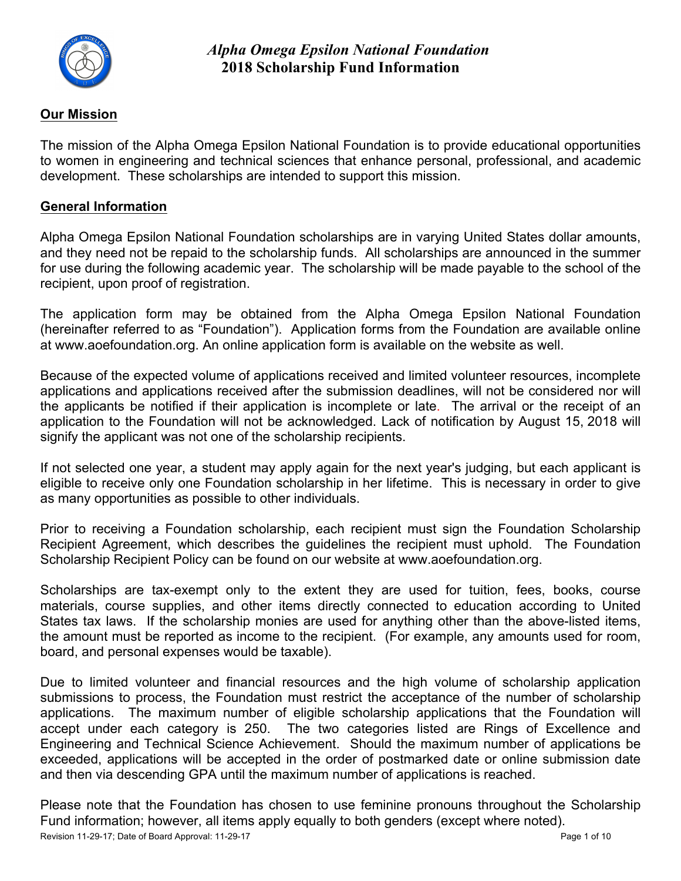

### **Our Mission**

The mission of the Alpha Omega Epsilon National Foundation is to provide educational opportunities to women in engineering and technical sciences that enhance personal, professional, and academic development. These scholarships are intended to support this mission.

#### **General Information**

Alpha Omega Epsilon National Foundation scholarships are in varying United States dollar amounts, and they need not be repaid to the scholarship funds. All scholarships are announced in the summer for use during the following academic year. The scholarship will be made payable to the school of the recipient, upon proof of registration.

The application form may be obtained from the Alpha Omega Epsilon National Foundation (hereinafter referred to as "Foundation"). Application forms from the Foundation are available online at www.aoefoundation.org. An online application form is available on the website as well.

Because of the expected volume of applications received and limited volunteer resources, incomplete applications and applications received after the submission deadlines, will not be considered nor will the applicants be notified if their application is incomplete or late. The arrival or the receipt of an application to the Foundation will not be acknowledged. Lack of notification by August 15, 2018 will signify the applicant was not one of the scholarship recipients.

If not selected one year, a student may apply again for the next year's judging, but each applicant is eligible to receive only one Foundation scholarship in her lifetime. This is necessary in order to give as many opportunities as possible to other individuals.

Prior to receiving a Foundation scholarship, each recipient must sign the Foundation Scholarship Recipient Agreement, which describes the guidelines the recipient must uphold. The Foundation Scholarship Recipient Policy can be found on our website at www.aoefoundation.org.

Scholarships are tax-exempt only to the extent they are used for tuition, fees, books, course materials, course supplies, and other items directly connected to education according to United States tax laws. If the scholarship monies are used for anything other than the above-listed items, the amount must be reported as income to the recipient. (For example, any amounts used for room, board, and personal expenses would be taxable).

Due to limited volunteer and financial resources and the high volume of scholarship application submissions to process, the Foundation must restrict the acceptance of the number of scholarship applications. The maximum number of eligible scholarship applications that the Foundation will accept under each category is 250. The two categories listed are Rings of Excellence and Engineering and Technical Science Achievement. Should the maximum number of applications be exceeded, applications will be accepted in the order of postmarked date or online submission date and then via descending GPA until the maximum number of applications is reached.

Please note that the Foundation has chosen to use feminine pronouns throughout the Scholarship Fund information; however, all items apply equally to both genders (except where noted).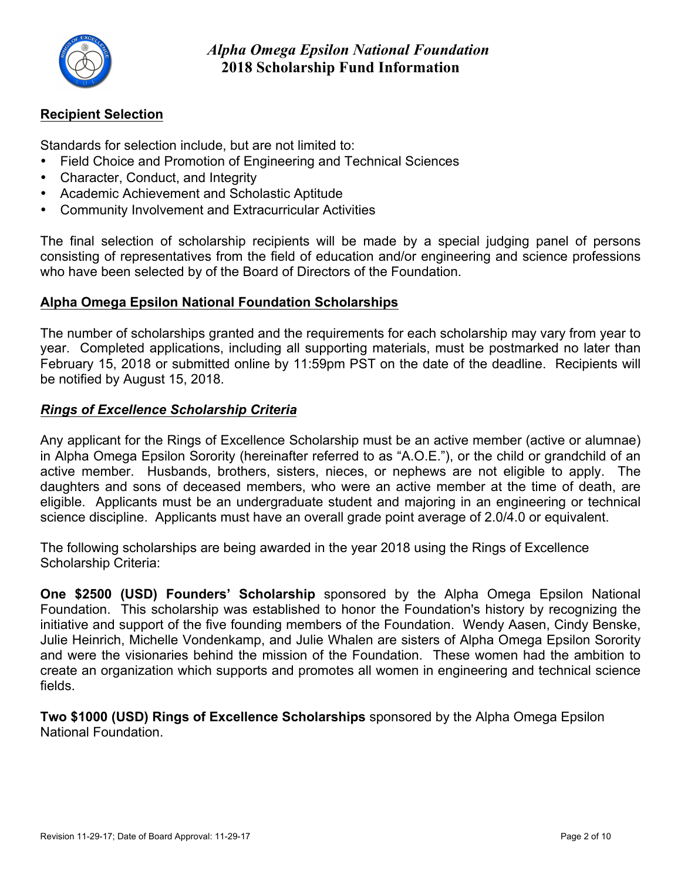

## **Recipient Selection**

Standards for selection include, but are not limited to:

- Field Choice and Promotion of Engineering and Technical Sciences
- Character, Conduct, and Integrity
- Academic Achievement and Scholastic Aptitude
- Community Involvement and Extracurricular Activities

The final selection of scholarship recipients will be made by a special judging panel of persons consisting of representatives from the field of education and/or engineering and science professions who have been selected by of the Board of Directors of the Foundation.

## **Alpha Omega Epsilon National Foundation Scholarships**

The number of scholarships granted and the requirements for each scholarship may vary from year to year. Completed applications, including all supporting materials, must be postmarked no later than February 15, 2018 or submitted online by 11:59pm PST on the date of the deadline. Recipients will be notified by August 15, 2018.

## *Rings of Excellence Scholarship Criteria*

Any applicant for the Rings of Excellence Scholarship must be an active member (active or alumnae) in Alpha Omega Epsilon Sorority (hereinafter referred to as "A.O.E."), or the child or grandchild of an active member. Husbands, brothers, sisters, nieces, or nephews are not eligible to apply. The daughters and sons of deceased members, who were an active member at the time of death, are eligible. Applicants must be an undergraduate student and majoring in an engineering or technical science discipline. Applicants must have an overall grade point average of 2.0/4.0 or equivalent.

The following scholarships are being awarded in the year 2018 using the Rings of Excellence Scholarship Criteria:

**One \$2500 (USD) Founders' Scholarship** sponsored by the Alpha Omega Epsilon National Foundation. This scholarship was established to honor the Foundation's history by recognizing the initiative and support of the five founding members of the Foundation. Wendy Aasen, Cindy Benske, Julie Heinrich, Michelle Vondenkamp, and Julie Whalen are sisters of Alpha Omega Epsilon Sorority and were the visionaries behind the mission of the Foundation. These women had the ambition to create an organization which supports and promotes all women in engineering and technical science fields.

**Two \$1000 (USD) Rings of Excellence Scholarships** sponsored by the Alpha Omega Epsilon National Foundation.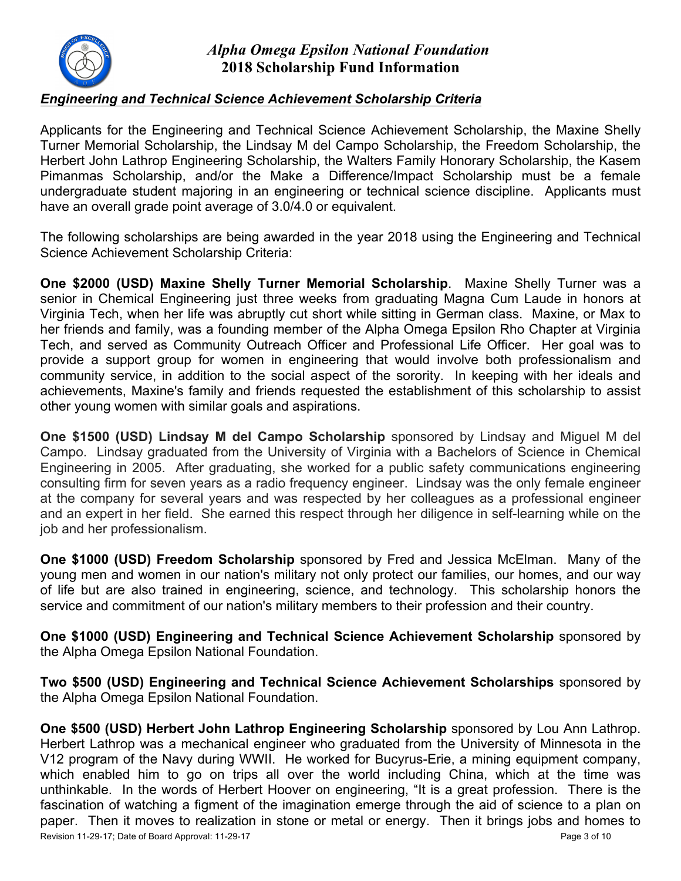

### *Engineering and Technical Science Achievement Scholarship Criteria*

Applicants for the Engineering and Technical Science Achievement Scholarship, the Maxine Shelly Turner Memorial Scholarship, the Lindsay M del Campo Scholarship, the Freedom Scholarship, the Herbert John Lathrop Engineering Scholarship, the Walters Family Honorary Scholarship, the Kasem Pimanmas Scholarship, and/or the Make a Difference/Impact Scholarship must be a female undergraduate student majoring in an engineering or technical science discipline. Applicants must have an overall grade point average of 3.0/4.0 or equivalent.

The following scholarships are being awarded in the year 2018 using the Engineering and Technical Science Achievement Scholarship Criteria:

**One \$2000 (USD) Maxine Shelly Turner Memorial Scholarship**. Maxine Shelly Turner was a senior in Chemical Engineering just three weeks from graduating Magna Cum Laude in honors at Virginia Tech, when her life was abruptly cut short while sitting in German class. Maxine, or Max to her friends and family, was a founding member of the Alpha Omega Epsilon Rho Chapter at Virginia Tech, and served as Community Outreach Officer and Professional Life Officer. Her goal was to provide a support group for women in engineering that would involve both professionalism and community service, in addition to the social aspect of the sorority. In keeping with her ideals and achievements, Maxine's family and friends requested the establishment of this scholarship to assist other young women with similar goals and aspirations.

**One \$1500 (USD) Lindsay M del Campo Scholarship** sponsored by Lindsay and Miguel M del Campo. Lindsay graduated from the University of Virginia with a Bachelors of Science in Chemical Engineering in 2005. After graduating, she worked for a public safety communications engineering consulting firm for seven years as a radio frequency engineer. Lindsay was the only female engineer at the company for several years and was respected by her colleagues as a professional engineer and an expert in her field. She earned this respect through her diligence in self-learning while on the job and her professionalism.

**One \$1000 (USD) Freedom Scholarship** sponsored by Fred and Jessica McElman. Many of the young men and women in our nation's military not only protect our families, our homes, and our way of life but are also trained in engineering, science, and technology. This scholarship honors the service and commitment of our nation's military members to their profession and their country.

**One \$1000 (USD) Engineering and Technical Science Achievement Scholarship** sponsored by the Alpha Omega Epsilon National Foundation.

**Two \$500 (USD) Engineering and Technical Science Achievement Scholarships** sponsored by the Alpha Omega Epsilon National Foundation.

Revision 11-29-17; Date of Board Approval: 11-29-17 Page 3 of 10 **One \$500 (USD) Herbert John Lathrop Engineering Scholarship** sponsored by Lou Ann Lathrop. Herbert Lathrop was a mechanical engineer who graduated from the University of Minnesota in the V12 program of the Navy during WWII. He worked for Bucyrus-Erie, a mining equipment company, which enabled him to go on trips all over the world including China, which at the time was unthinkable. In the words of Herbert Hoover on engineering, "It is a great profession. There is the fascination of watching a figment of the imagination emerge through the aid of science to a plan on paper. Then it moves to realization in stone or metal or energy. Then it brings jobs and homes to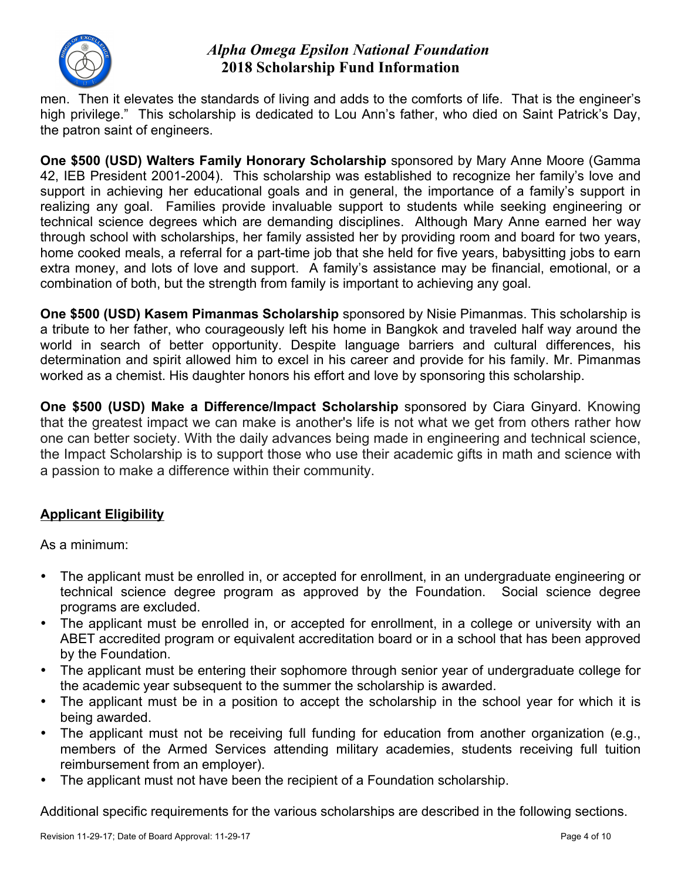

men. Then it elevates the standards of living and adds to the comforts of life. That is the engineer's high privilege." This scholarship is dedicated to Lou Ann's father, who died on Saint Patrick's Day, the patron saint of engineers.

**One \$500 (USD) Walters Family Honorary Scholarship** sponsored by Mary Anne Moore (Gamma 42, IEB President 2001-2004). This scholarship was established to recognize her family's love and support in achieving her educational goals and in general, the importance of a family's support in realizing any goal. Families provide invaluable support to students while seeking engineering or technical science degrees which are demanding disciplines. Although Mary Anne earned her way through school with scholarships, her family assisted her by providing room and board for two years, home cooked meals, a referral for a part-time job that she held for five years, babysitting jobs to earn extra money, and lots of love and support. A family's assistance may be financial, emotional, or a combination of both, but the strength from family is important to achieving any goal.

**One \$500 (USD) Kasem Pimanmas Scholarship** sponsored by Nisie Pimanmas. This scholarship is a tribute to her father, who courageously left his home in Bangkok and traveled half way around the world in search of better opportunity. Despite language barriers and cultural differences, his determination and spirit allowed him to excel in his career and provide for his family. Mr. Pimanmas worked as a chemist. His daughter honors his effort and love by sponsoring this scholarship.

**One \$500 (USD) Make a Difference/Impact Scholarship** sponsored by Ciara Ginyard. Knowing that the greatest impact we can make is another's life is not what we get from others rather how one can better society. With the daily advances being made in engineering and technical science, the Impact Scholarship is to support those who use their academic gifts in math and science with a passion to make a difference within their community.

## **Applicant Eligibility**

As a minimum:

- The applicant must be enrolled in, or accepted for enrollment, in an undergraduate engineering or technical science degree program as approved by the Foundation. Social science degree programs are excluded.
- The applicant must be enrolled in, or accepted for enrollment, in a college or university with an ABET accredited program or equivalent accreditation board or in a school that has been approved by the Foundation.
- The applicant must be entering their sophomore through senior year of undergraduate college for the academic year subsequent to the summer the scholarship is awarded.
- The applicant must be in a position to accept the scholarship in the school year for which it is being awarded.
- The applicant must not be receiving full funding for education from another organization (e.g., members of the Armed Services attending military academies, students receiving full tuition reimbursement from an employer).
- The applicant must not have been the recipient of a Foundation scholarship.

Additional specific requirements for the various scholarships are described in the following sections.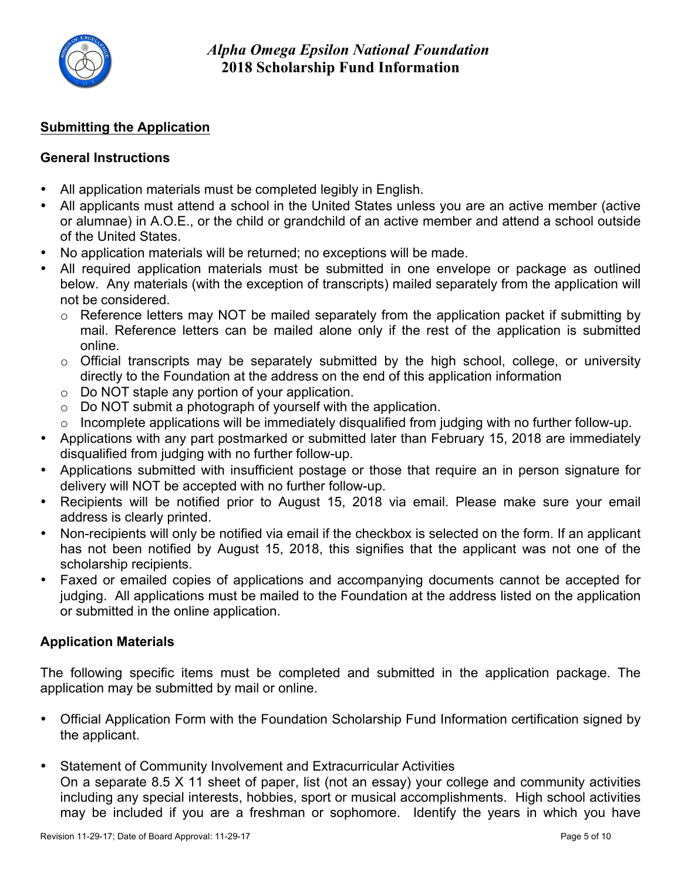

## **Submitting the Application**

### **General Instructions**

- All application materials must be completed legibly in English.
- All applicants must attend a school in the United States unless you are an active member (active or alumnae) in A.O.E., or the child or grandchild of an active member and attend a school outside of the United States.
- No application materials will be returned; no exceptions will be made.
- All required application materials must be submitted in one envelope or package as outlined below. Any materials (with the exception of transcripts) mailed separately from the application will not be considered.
	- $\circ$  Reference letters may NOT be mailed separately from the application packet if submitting by mail. Reference letters can be mailed alone only if the rest of the application is submitted online.
	- o Official transcripts may be separately submitted by the high school, college, or university directly to the Foundation at the address on the end of this application information
	- o Do NOT staple any portion of your application.
	- $\circ$  Do NOT submit a photograph of yourself with the application.
	- $\circ$  Incomplete applications will be immediately disqualified from judging with no further follow-up.
- Applications with any part postmarked or submitted later than February 15, 2018 are immediately disqualified from judging with no further follow-up.
- Applications submitted with insufficient postage or those that require an in person signature for delivery will NOT be accepted with no further follow-up.
- Recipients will be notified prior to August 15, 2018 via email. Please make sure your email address is clearly printed.
- Non-recipients will only be notified via email if the checkbox is selected on the form. If an applicant has not been notified by August 15, 2018, this signifies that the applicant was not one of the scholarship recipients.
- Faxed or emailed copies of applications and accompanying documents cannot be accepted for judging. All applications must be mailed to the Foundation at the address listed on the application or submitted in the online application.

## **Application Materials**

The following specific items must be completed and submitted in the application package. The application may be submitted by mail or online.

- Official Application Form with the Foundation Scholarship Fund Information certification signed by the applicant.
- Statement of Community Involvement and Extracurricular Activities On a separate 8.5 X 11 sheet of paper, list (not an essay) your college and community activities including any special interests, hobbies, sport or musical accomplishments. High school activities may be included if you are a freshman or sophomore. Identify the years in which you have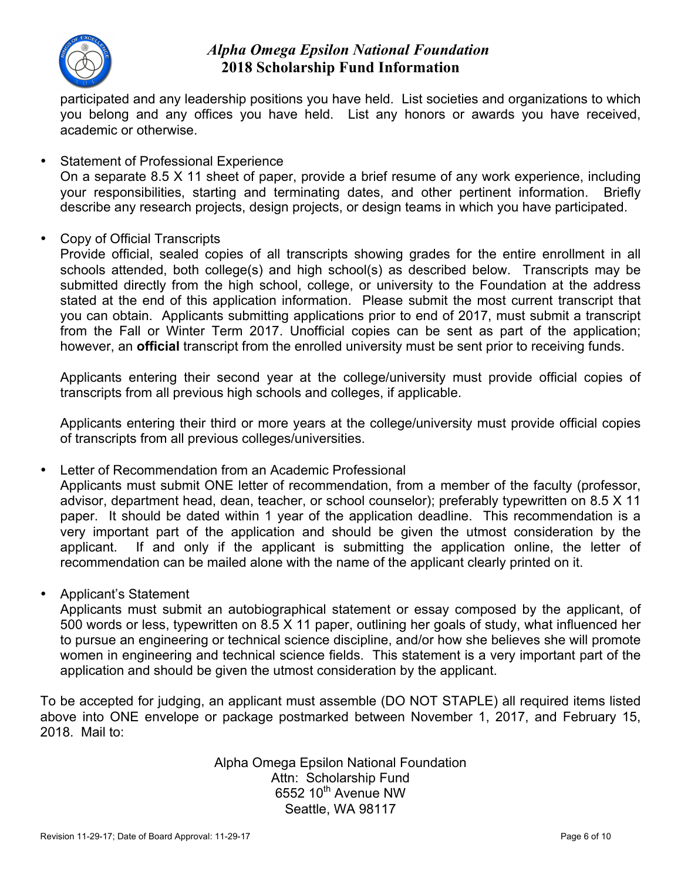

participated and any leadership positions you have held. List societies and organizations to which you belong and any offices you have held. List any honors or awards you have received, academic or otherwise.

- Statement of Professional Experience On a separate 8.5 X 11 sheet of paper, provide a brief resume of any work experience, including your responsibilities, starting and terminating dates, and other pertinent information. Briefly describe any research projects, design projects, or design teams in which you have participated.
- Copy of Official Transcripts

Provide official, sealed copies of all transcripts showing grades for the entire enrollment in all schools attended, both college(s) and high school(s) as described below. Transcripts may be submitted directly from the high school, college, or university to the Foundation at the address stated at the end of this application information. Please submit the most current transcript that you can obtain. Applicants submitting applications prior to end of 2017, must submit a transcript from the Fall or Winter Term 2017. Unofficial copies can be sent as part of the application; however, an **official** transcript from the enrolled university must be sent prior to receiving funds.

Applicants entering their second year at the college/university must provide official copies of transcripts from all previous high schools and colleges, if applicable.

Applicants entering their third or more years at the college/university must provide official copies of transcripts from all previous colleges/universities.

• Letter of Recommendation from an Academic Professional

Applicants must submit ONE letter of recommendation, from a member of the faculty (professor, advisor, department head, dean, teacher, or school counselor); preferably typewritten on 8.5 X 11 paper. It should be dated within 1 year of the application deadline. This recommendation is a very important part of the application and should be given the utmost consideration by the applicant. If and only if the applicant is submitting the application online, the letter of recommendation can be mailed alone with the name of the applicant clearly printed on it.

• Applicant's Statement

Applicants must submit an autobiographical statement or essay composed by the applicant, of 500 words or less, typewritten on 8.5 X 11 paper, outlining her goals of study, what influenced her to pursue an engineering or technical science discipline, and/or how she believes she will promote women in engineering and technical science fields. This statement is a very important part of the application and should be given the utmost consideration by the applicant.

To be accepted for judging, an applicant must assemble (DO NOT STAPLE) all required items listed above into ONE envelope or package postmarked between November 1, 2017, and February 15, 2018. Mail to:

> Alpha Omega Epsilon National Foundation Attn: Scholarship Fund 6552  $10^{th}$  Avenue NW Seattle, WA 98117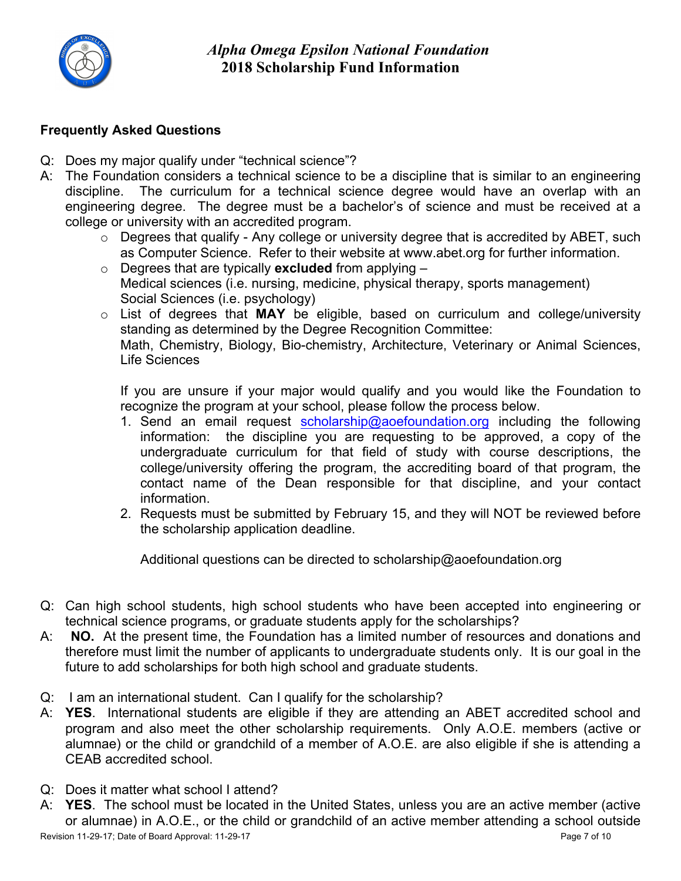

## **Frequently Asked Questions**

- Q: Does my major qualify under "technical science"?
- A: The Foundation considers a technical science to be a discipline that is similar to an engineering discipline. The curriculum for a technical science degree would have an overlap with an engineering degree. The degree must be a bachelor's of science and must be received at a college or university with an accredited program.
	- o Degrees that qualify Any college or university degree that is accredited by ABET, such as Computer Science. Refer to their website at www.abet.org for further information.
	- o Degrees that are typically **excluded** from applying Medical sciences (i.e. nursing, medicine, physical therapy, sports management) Social Sciences (i.e. psychology)
	- o List of degrees that **MAY** be eligible, based on curriculum and college/university standing as determined by the Degree Recognition Committee: Math, Chemistry, Biology, Bio-chemistry, Architecture, Veterinary or Animal Sciences, Life Sciences

If you are unsure if your major would qualify and you would like the Foundation to recognize the program at your school, please follow the process below.

- 1. Send an email request scholarship@aoefoundation.org including the following information: the discipline you are requesting to be approved, a copy of the undergraduate curriculum for that field of study with course descriptions, the college/university offering the program, the accrediting board of that program, the contact name of the Dean responsible for that discipline, and your contact information.
- 2. Requests must be submitted by February 15, and they will NOT be reviewed before the scholarship application deadline.

Additional questions can be directed to scholarship@aoefoundation.org

- Q: Can high school students, high school students who have been accepted into engineering or technical science programs, or graduate students apply for the scholarships?
- A: **NO.** At the present time, the Foundation has a limited number of resources and donations and therefore must limit the number of applicants to undergraduate students only. It is our goal in the future to add scholarships for both high school and graduate students.
- Q: I am an international student. Can I qualify for the scholarship?
- A: **YES**. International students are eligible if they are attending an ABET accredited school and program and also meet the other scholarship requirements. Only A.O.E. members (active or alumnae) or the child or grandchild of a member of A.O.E. are also eligible if she is attending a CEAB accredited school.
- Q: Does it matter what school I attend?
- A: **YES**. The school must be located in the United States, unless you are an active member (active or alumnae) in A.O.E., or the child or grandchild of an active member attending a school outside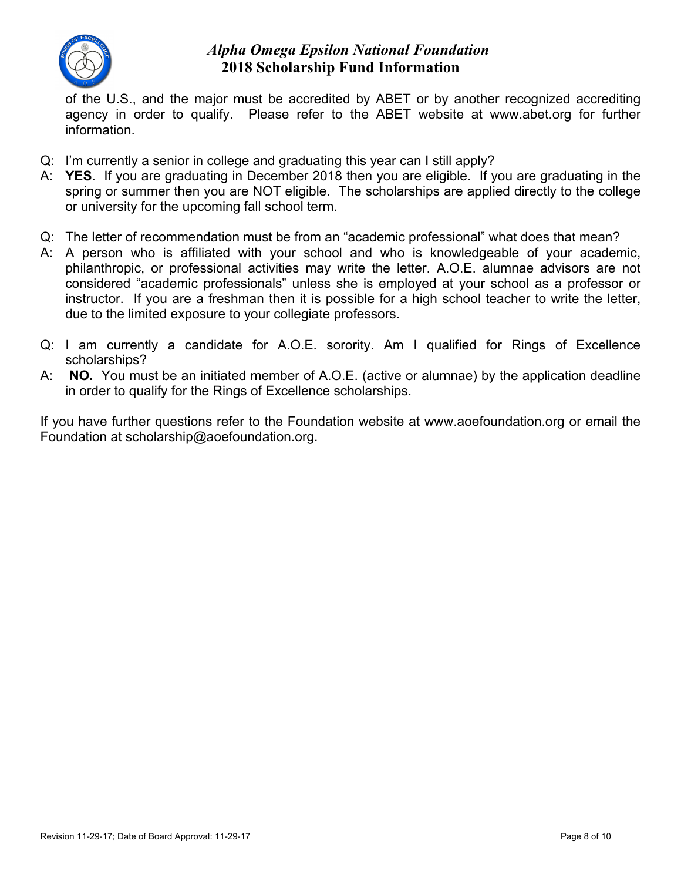

of the U.S., and the major must be accredited by ABET or by another recognized accrediting agency in order to qualify. Please refer to the ABET website at www.abet.org for further information.

- Q: I'm currently a senior in college and graduating this year can I still apply?
- A: **YES**. If you are graduating in December 2018 then you are eligible. If you are graduating in the spring or summer then you are NOT eligible. The scholarships are applied directly to the college or university for the upcoming fall school term.
- Q: The letter of recommendation must be from an "academic professional" what does that mean?
- A: A person who is affiliated with your school and who is knowledgeable of your academic, philanthropic, or professional activities may write the letter. A.O.E. alumnae advisors are not considered "academic professionals" unless she is employed at your school as a professor or instructor. If you are a freshman then it is possible for a high school teacher to write the letter, due to the limited exposure to your collegiate professors.
- Q: I am currently a candidate for A.O.E. sorority. Am I qualified for Rings of Excellence scholarships?
- A: **NO.** You must be an initiated member of A.O.E. (active or alumnae) by the application deadline in order to qualify for the Rings of Excellence scholarships.

If you have further questions refer to the Foundation website at www.aoefoundation.org or email the Foundation at scholarship@aoefoundation.org.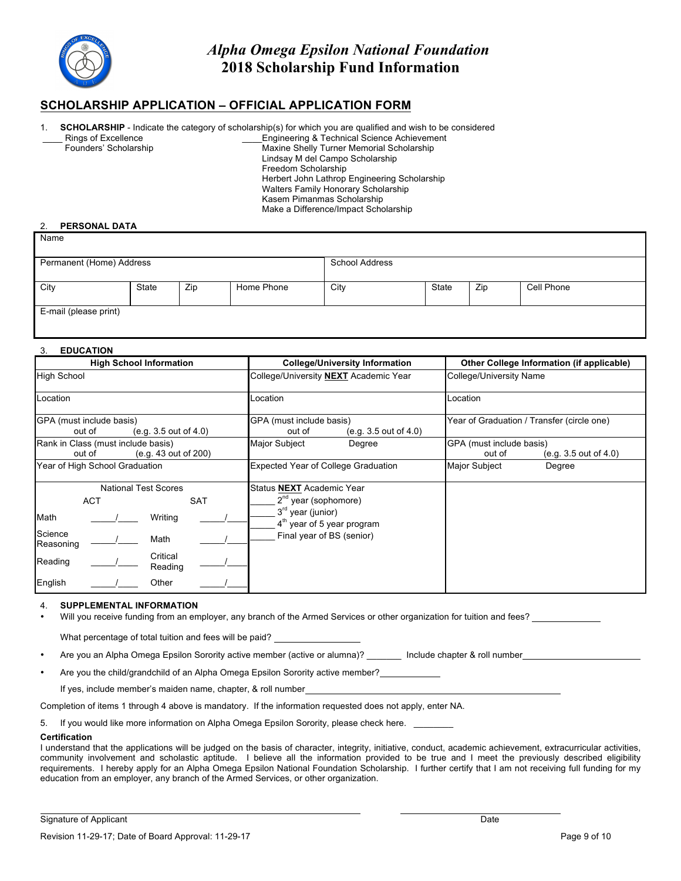

#### **SCHOLARSHIP APPLICATION – OFFICIAL APPLICATION FORM**

- **SCHOLARSHIP** Indicate the category of scholarship(s) for which you are qualified and wish to be considered
	- Rings of Excellence Founders' Scholarship

\_\_\_\_Engineering & Technical Science Achievement Maxine Shelly Turner Memorial Scholarship Lindsay M del Campo Scholarship Freedom Scholarship Herbert John Lathrop Engineering Scholarship Walters Family Honorary Scholarship Kasem Pimanmas Scholarship Make a Difference/Impact Scholarship

#### 2. **PERSONAL DATA**

**Name** 

| Permanent (Home) Address |       |     |            | <b>School Address</b> |       |     |            |
|--------------------------|-------|-----|------------|-----------------------|-------|-----|------------|
|                          |       |     |            |                       |       |     |            |
| City                     | State | Zip | Home Phone | City                  | State | Zip | Cell Phone |
|                          |       |     |            |                       |       |     |            |
| E-mail (please print)    |       |     |            |                       |       |     |            |
|                          |       |     |            |                       |       |     |            |

#### 3. **EDUCATION**

| <b>High School Information</b>                                       | <b>College/University Information</b>                       | Other College Information (if applicable)                   |  |
|----------------------------------------------------------------------|-------------------------------------------------------------|-------------------------------------------------------------|--|
| High School                                                          | College/University NEXT Academic Year                       | College/University Name                                     |  |
| Location                                                             | Location                                                    | Location                                                    |  |
| GPA (must include basis)<br>(e.g. 3.5 out of 4.0)<br>out of          | GPA (must include basis)<br>(e.g. 3.5 out of 4.0)<br>out of | Year of Graduation / Transfer (circle one)                  |  |
| Rank in Class (must include basis)<br>(e.g. 43 out of 200)<br>out of | Major Subject<br>Degree                                     | GPA (must include basis)<br>out of<br>(e.g. 3.5 out of 4.0) |  |
| Year of High School Graduation                                       | Expected Year of College Graduation                         | <b>Major Subject</b><br>Degree                              |  |
| <b>National Test Scores</b>                                          | Status NEXT Academic Year                                   |                                                             |  |
| <b>ACT</b><br><b>SAT</b>                                             | $2^{nd}$ year (sophomore)                                   |                                                             |  |
| Writing<br>Math                                                      | 3rd year (junior)<br>$4th$ year of 5 year program           |                                                             |  |
| Science<br>Math<br>Reasoning                                         | Final year of BS (senior)                                   |                                                             |  |
| Critical<br>Reading<br>Reading                                       |                                                             |                                                             |  |
| English<br>Other                                                     |                                                             |                                                             |  |

#### 4. **SUPPLEMENTAL INFORMATION**

• Will you receive funding from an employer, any branch of the Armed Services or other organization for tuition and fees?

What percentage of total tuition and fees will be paid?

- Are you an Alpha Omega Epsilon Sorority active member (active or alumna)? \_\_\_\_\_\_\_ Include chapter & roll number
- Are you the child/grandchild of an Alpha Omega Epsilon Sorority active member?

If yes, include member's maiden name, chapter, & roll number

Completion of items 1 through 4 above is mandatory. If the information requested does not apply, enter NA.

5. If you would like more information on Alpha Omega Epsilon Sorority, please check here.

#### **Certification**

I understand that the applications will be judged on the basis of character, integrity, initiative, conduct, academic achievement, extracurricular activities, community involvement and scholastic aptitude. I believe all the information provided to be true and I meet the previously described eligibility requirements. I hereby apply for an Alpha Omega Epsilon National Foundation Scholarship. I further certify that I am not receiving full funding for my education from an employer, any branch of the Armed Services, or other organization.

Signature of Applicant Date